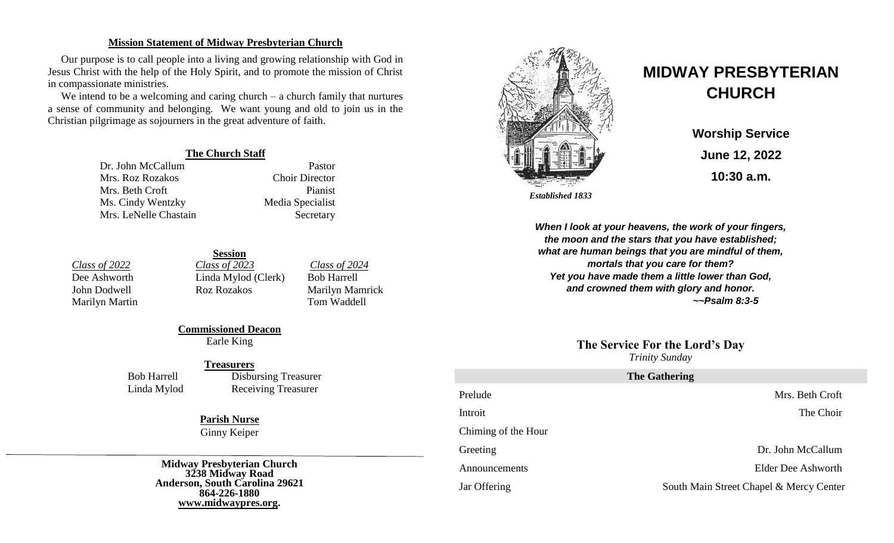### **Mission Statement of Midway Presbyterian Church**

Our purpose is to call people into a living and growing relationship with God in Jesus Christ with the help of the Holy Spirit, and to promote the mission of Christ in compassionate ministries.

We intend to be a welcoming and caring church – a church family that nurtures a sense of community and belonging. We want young and old to join us in the Christian pilgrimage as sojourners in the great adventure of faith.

### **The Church Staff**

Dr. John McCallum Pastor Mrs. Roz Rozakos Choir Director Mrs. Beth Croft Pianist Ms. Cindy Wentzky Media Specialist Mrs. LeNelle Chastain Secretary

*Class of 2022 Class of 2023 Class of 2024* Dee Ashworth Linda Mylod (Clerk) Bob Harrell John Dodwell Roz Rozakos Marilyn Mamrick Marilyn Martin Tom Waddell

**Session**

**Commissioned Deacon** Earle King

### **Treasurers**

Bob Harrell Disbursing Treasurer Linda Mylod Receiving Treasurer

## **Parish Nurse**

Ginny Keiper

**Midway Presbyterian Church 3238 Midway Road Anderson, South Carolina 29621 864-226-1880 [www.midwaypres.org.](http://www.midwaypres.org/)**



# **MIDWAY PRESBYTERIAN CHURCH**

**Worship Service June 12, 2022 10:30 a.m.**

 *Established 1833*

*When I look at your heavens, the work of your fingers, the moon and the stars that you have established; what are human beings that you are mindful of them, mortals that you care for them? Yet you have made them a little lower than God, and crowned them with glory and honor. ~~Psalm 8:3-5*

### **The Service For the Lord's Day**

*Trinity Sunday*

| <b>The Gathering</b> |                                         |  |  |  |
|----------------------|-----------------------------------------|--|--|--|
| Prelude              | Mrs. Beth Croft                         |  |  |  |
| Introit              | The Choir                               |  |  |  |
| Chiming of the Hour  |                                         |  |  |  |
| Greeting             | Dr. John McCallum                       |  |  |  |
| Announcements        | Elder Dee Ashworth                      |  |  |  |
| Jar Offering         | South Main Street Chapel & Mercy Center |  |  |  |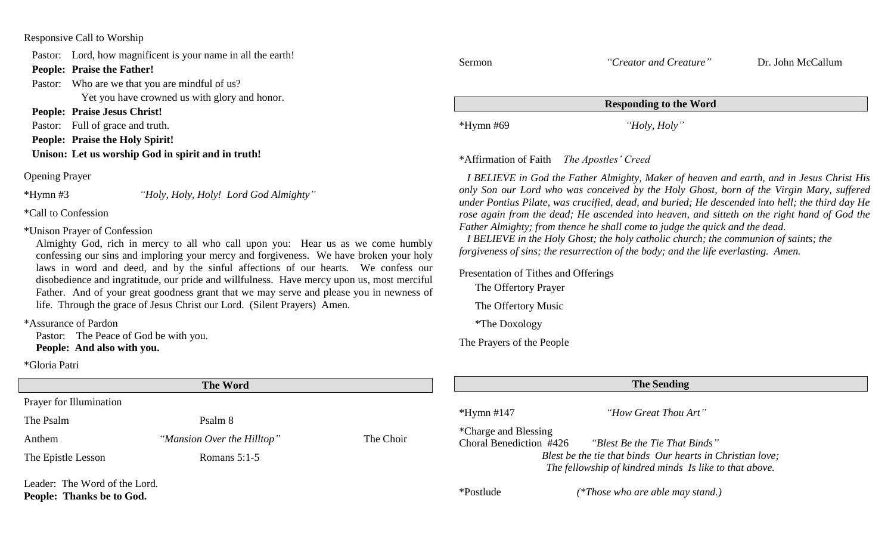### Responsive Call to Worship

Pastor: Lord, how magnificent is your name in all the earth! **People: Praise the Father!** Pastor: Who are we that you are mindful of us? Yet you have crowned us with glory and honor. **People: Praise Jesus Christ!** Pastor: Full of grace and truth. **People: Praise the Holy Spirit! Unison: Let us worship God in spirit and in truth!** Sermon *"Creator and Creature"* Dr. John McCallum **Responding to the Word** \*Hymn #69 *"Holy, Holy"* \*Affirmation of Faith *The Apostles' Creed*

> *I BELIEVE in God the Father Almighty, Maker of heaven and earth, and in Jesus Christ His only Son our Lord who was conceived by the Holy Ghost, born of the Virgin Mary, suffered under Pontius Pilate, was crucified, dead, and buried; He descended into hell; the third day He rose again from the dead; He ascended into heaven, and sitteth on the right hand of God the*

*Father Almighty; from thence he shall come to judge the quick and the dead.*

Presentation of Tithes and Offerings

The Offertory Prayer

The Offertory Music

\*The Doxology

The Prayers of the People

*forgiveness of sins; the resurrection of the body; and the life everlasting. Amen.*

 *I BELIEVE in the Holy Ghost; the holy catholic church; the communion of saints; the* 

Opening Prayer

\*Hymn #3 *"Holy, Holy, Holy! Lord God Almighty"*

\*Call to Confession

\*Unison Prayer of Confession

Almighty God, rich in mercy to all who call upon you: Hear us as we come humbly confessing our sins and imploring your mercy and forgiveness. We have broken your holy laws in word and deed, and by the sinful affections of our hearts. We confess our disobedience and ingratitude, our pride and willfulness. Have mercy upon us, most merciful Father. And of your great goodness grant that we may serve and please you in newness of life. Through the grace of Jesus Christ our Lord. (Silent Prayers) Amen.

\*Assurance of Pardon

Pastor: The Peace of God be with you. **People: And also with you.**

\*Gloria Patri

| <b>The Word</b>                                            |                            | <b>The Sending</b> |                                                                                                                     |                                                                                  |  |
|------------------------------------------------------------|----------------------------|--------------------|---------------------------------------------------------------------------------------------------------------------|----------------------------------------------------------------------------------|--|
| <b>Prayer for Illumination</b>                             |                            |                    |                                                                                                                     |                                                                                  |  |
| The Psalm                                                  | Psalm 8                    |                    | $*Hymn$ #147                                                                                                        | "How Great Thou Art"                                                             |  |
| Anthem                                                     | "Mansion Over the Hilltop" | The Choir          |                                                                                                                     | *Charge and Blessing<br>Choral Benediction #426<br>"Blest Be the Tie That Binds" |  |
| The Epistle Lesson                                         | Romans $5:1-5$             |                    | Blest be the tie that binds Our hearts in Christian love;<br>The fellowship of kindred minds Is like to that above. |                                                                                  |  |
| Leader: The Word of the Lord.<br>People: Thanks be to God. |                            |                    | *Postlude                                                                                                           | (*Those who are able may stand.)                                                 |  |